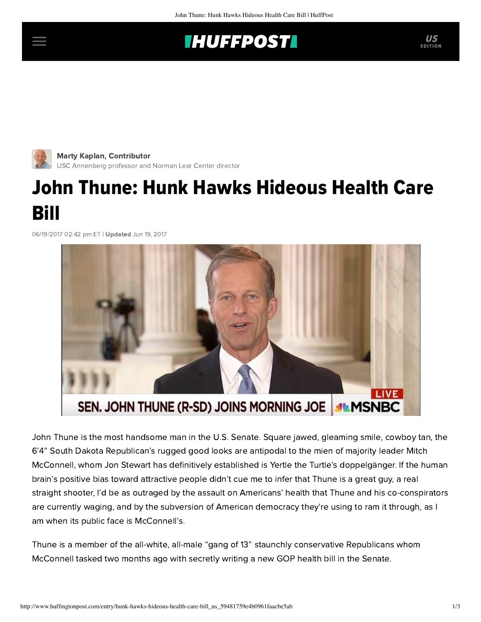## **INUFFPOST**



Marty Kaplan, Contributor [USC Annenberg professor and Norman Lear Center director](http://www.huffingtonpost.com/author/marty-kaplan)

## John Thune: Hunk Hawks Hideous Health Care Bill

06/19/2017 02:42 pm ET | Updated Jun 19, 2017



John Thune is the most handsome man in the U.S. Senate. Square jawed, gleaming smile, cowboy tan, the 6'4" South Dakota Republican's rugged good looks are antipodal to the mien of majority leader Mitch McConnell, whom Jon Stewart has definitively established is Yertle the Turtle's doppelgänger. If the human brain's positive bias toward attractive people didn't cue me to infer that Thune is a great guy, a real straight shooter, I'd be as outraged by the assault on Americans' health that Thune and his co-conspirators are currently waging, and by the subversion of American democracy they're using to ram it through, as I am when its public face is McConnell's.

Thune is a member of the [all-white, all-male](https://www.nytimes.com/2017/05/08/us/politics/women-health-care-senate.html) "gang of 13" staunchly conservative Republicans whom McConnell tasked two months ago with secretly writing a new GOP health bill in the Senate.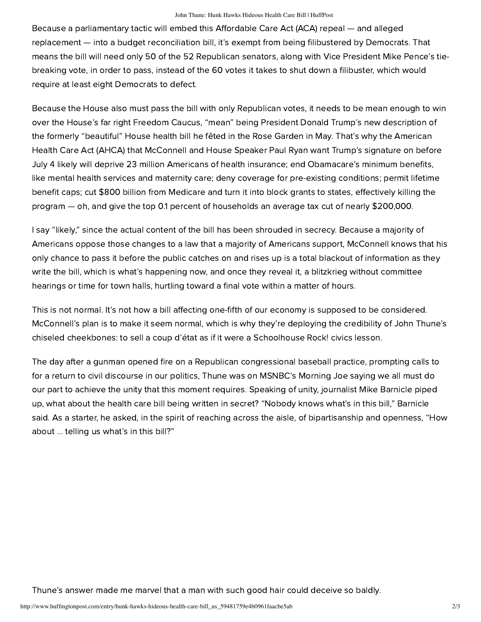Because a [parliamentary tactic](https://www.nytimes.com/2017/01/04/us/politics/the-parliamentary-trick-that-could-obliterate-obamacare.html) will embed this Affordable Care Act (ACA) repeal — and alleged replacement — into a budget reconciliation bill, it's exempt from being filibustered by Democrats. That means the bill will need only 50 of the 52 Republican senators, along with Vice President Mike Pence's tiebreaking vote, in order to pass, instead of the 60 votes it takes to shut down a filibuster, which would require at least eight Democrats to defect.

Because the House also must pass the bill with only Republican votes, it needs to be mean enough to win over the House's far right Freedom Caucus, "mean" being President Donald Trump's new description of the formerly "beautiful" House health bill he fêted in the Rose Garden in May. That's why the American Health Care Act (AHCA) that McConnell and House Speaker Paul Ryan want Trump's signature on before July 4 likely will deprive 23 million Americans of health insurance; end Obamacare's minimum benefits, like mental health services and maternity care; deny coverage for pre-existing conditions; permit lifetime benefit caps; cut \$800 billion from Medicare and turn it into block grants to states, effectively killing the program — oh, and give the top 0.1 percent of households an average [tax cut](http://www.latimes.com/business/hiltzik/la-fi-hiltzik-obamacare-tax-cut-20161216-story.html) of nearly \$200,000.

I say "likely," since the actual content of the bill has been shrouded in secrecy. Because a majority of Americans oppose those changes to a law that a majority of Americans support, McConnell knows that his only chance to pass it before the public catches on and rises up is a total blackout of information as they write the bill, which is what's happening now, and once they reveal it, a blitzkrieg without committee hearings or time for town halls, hurtling toward a final vote within a matter of hours.

This is not normal. It's not how a bill affecting one-fifth of our economy is supposed to be considered. McConnell's plan is to make it seem normal, which is why they're deploying the credibility of John Thune's chiseled cheekbones: to sell a coup d'état as if it were a [Schoolhouse Rock!](https://www.google.com/url?sa=t&rct=j&q=&esrc=s&source=web&cd=1&cad=rja&uact=8&ved=0ahUKEwis867yy8jUAhVBRGMKHUW3CfEQ3ywIKDAA&url=https%3A%2F%2Fwww.youtube.com%2Fwatch%3Fv%3DOtbml6WIQPo&usg=AFQjCNFLmufPJQ4_4sBoBRDKCGNfNRutKw&sig2=bLSd9hJhT3WmLjlw94q1rg) civics lesson.

The day after a gunman opened fire on a Republican congressional baseball practice, prompting calls to for a return to civil discourse in our politics, Thune was on MSNBC's [Morning Joe](http://www.msnbc.com/morning-joe/watch/gop-senator-mueller-is-a-man-of-integrity-968102979876) saying we all must do our part to achieve the unity that this moment requires. Speaking of unity, journalist Mike Barnicle piped up, what about the health care bill being written in secret? "Nobody knows what's in this bill," Barnicle said. As a starter, he asked, in the spirit of reaching across the aisle, of bipartisanship and openness, "How about … telling us what's in this bill?"